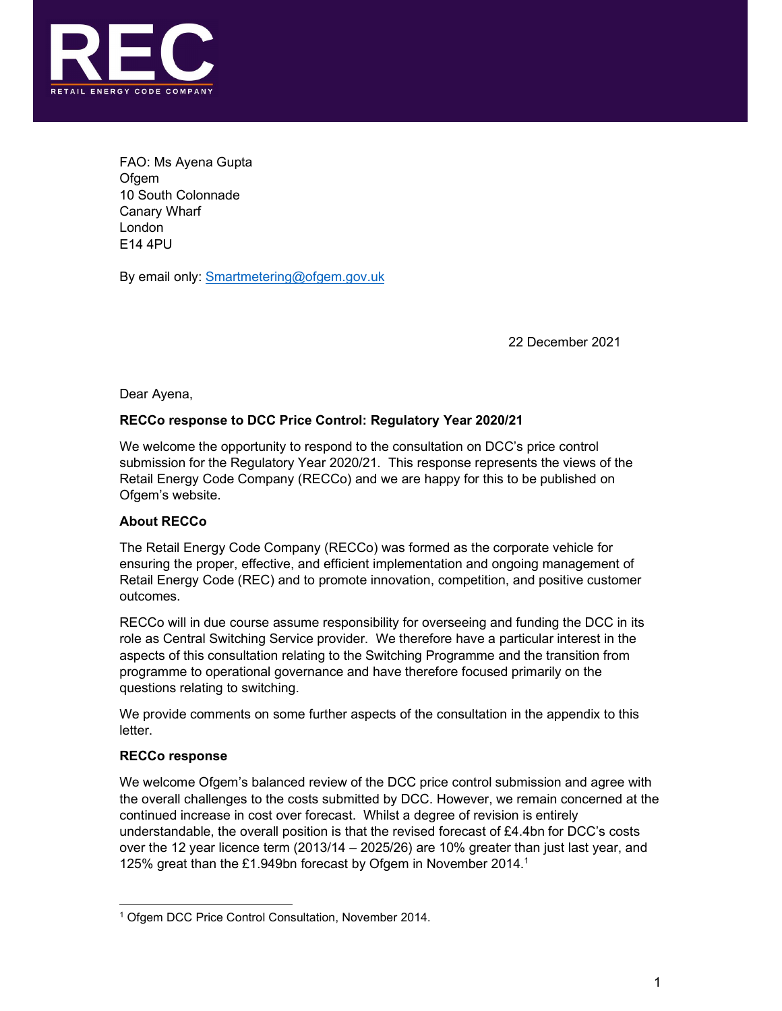

FAO: Ms Ayena Gupta **Ofgem** 10 South Colonnade Canary Wharf London E14 4PU

By email only: Smartmetering@ofgem.gov.uk

22 December 2021

Dear Ayena,

# RECCo response to DCC Price Control: Regulatory Year 2020/21

We welcome the opportunity to respond to the consultation on DCC's price control submission for the Regulatory Year 2020/21. This response represents the views of the Retail Energy Code Company (RECCo) and we are happy for this to be published on Ofgem's website.

## About RECCo

The Retail Energy Code Company (RECCo) was formed as the corporate vehicle for ensuring the proper, effective, and efficient implementation and ongoing management of Retail Energy Code (REC) and to promote innovation, competition, and positive customer outcomes.

RECCo will in due course assume responsibility for overseeing and funding the DCC in its role as Central Switching Service provider. We therefore have a particular interest in the aspects of this consultation relating to the Switching Programme and the transition from programme to operational governance and have therefore focused primarily on the questions relating to switching.

We provide comments on some further aspects of the consultation in the appendix to this letter.

#### RECCo response

We welcome Ofgem's balanced review of the DCC price control submission and agree with the overall challenges to the costs submitted by DCC. However, we remain concerned at the continued increase in cost over forecast. Whilst a degree of revision is entirely understandable, the overall position is that the revised forecast of £4.4bn for DCC's costs over the 12 year licence term (2013/14 – 2025/26) are 10% greater than just last year, and 125% great than the £1.949bn forecast by Ofgem in November 2014.1 1

<sup>&</sup>lt;sup>1</sup> Ofgem DCC Price Control Consultation, November 2014.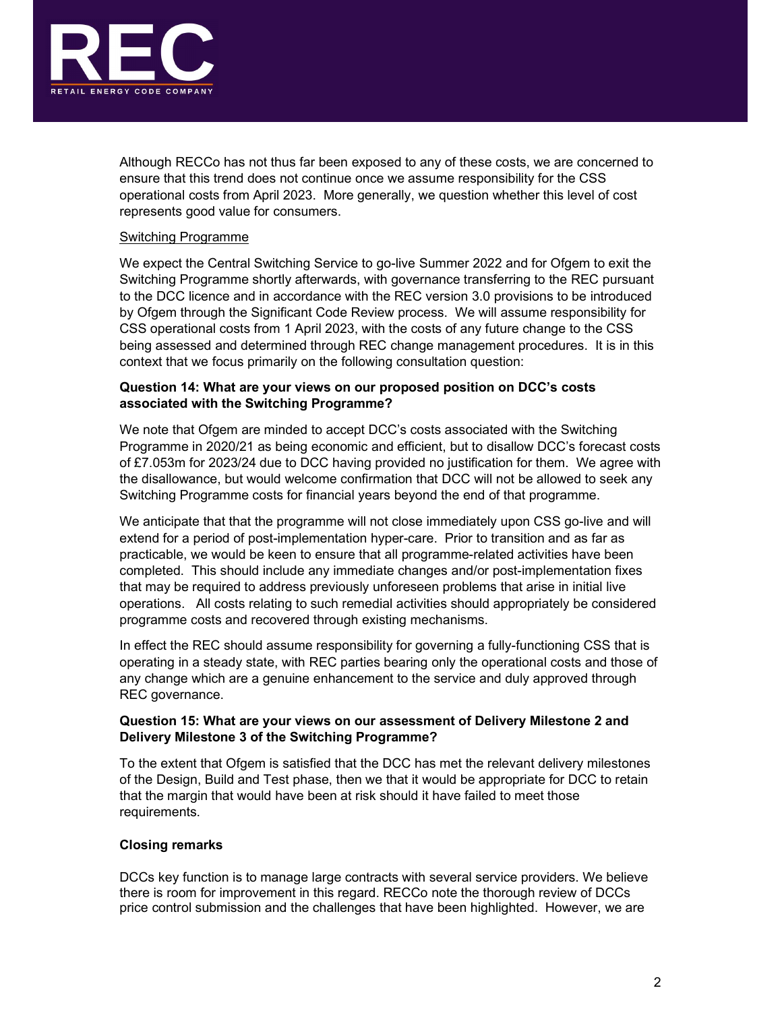

Although RECCo has not thus far been exposed to any of these costs, we are concerned to ensure that this trend does not continue once we assume responsibility for the CSS operational costs from April 2023. More generally, we question whether this level of cost represents good value for consumers.

### Switching Programme

We expect the Central Switching Service to go-live Summer 2022 and for Ofgem to exit the Switching Programme shortly afterwards, with governance transferring to the REC pursuant to the DCC licence and in accordance with the REC version 3.0 provisions to be introduced by Ofgem through the Significant Code Review process. We will assume responsibility for CSS operational costs from 1 April 2023, with the costs of any future change to the CSS being assessed and determined through REC change management procedures. It is in this context that we focus primarily on the following consultation question:

### Question 14: What are your views on our proposed position on DCC's costs associated with the Switching Programme?

We note that Ofgem are minded to accept DCC's costs associated with the Switching Programme in 2020/21 as being economic and efficient, but to disallow DCC's forecast costs of £7.053m for 2023/24 due to DCC having provided no justification for them. We agree with the disallowance, but would welcome confirmation that DCC will not be allowed to seek any Switching Programme costs for financial years beyond the end of that programme.

We anticipate that that the programme will not close immediately upon CSS go-live and will extend for a period of post-implementation hyper-care. Prior to transition and as far as practicable, we would be keen to ensure that all programme-related activities have been completed. This should include any immediate changes and/or post-implementation fixes that may be required to address previously unforeseen problems that arise in initial live operations. All costs relating to such remedial activities should appropriately be considered programme costs and recovered through existing mechanisms.

In effect the REC should assume responsibility for governing a fully-functioning CSS that is operating in a steady state, with REC parties bearing only the operational costs and those of any change which are a genuine enhancement to the service and duly approved through REC governance.

## Question 15: What are your views on our assessment of Delivery Milestone 2 and Delivery Milestone 3 of the Switching Programme?

To the extent that Ofgem is satisfied that the DCC has met the relevant delivery milestones of the Design, Build and Test phase, then we that it would be appropriate for DCC to retain that the margin that would have been at risk should it have failed to meet those requirements.

## Closing remarks

DCCs key function is to manage large contracts with several service providers. We believe there is room for improvement in this regard. RECCo note the thorough review of DCCs price control submission and the challenges that have been highlighted. However, we are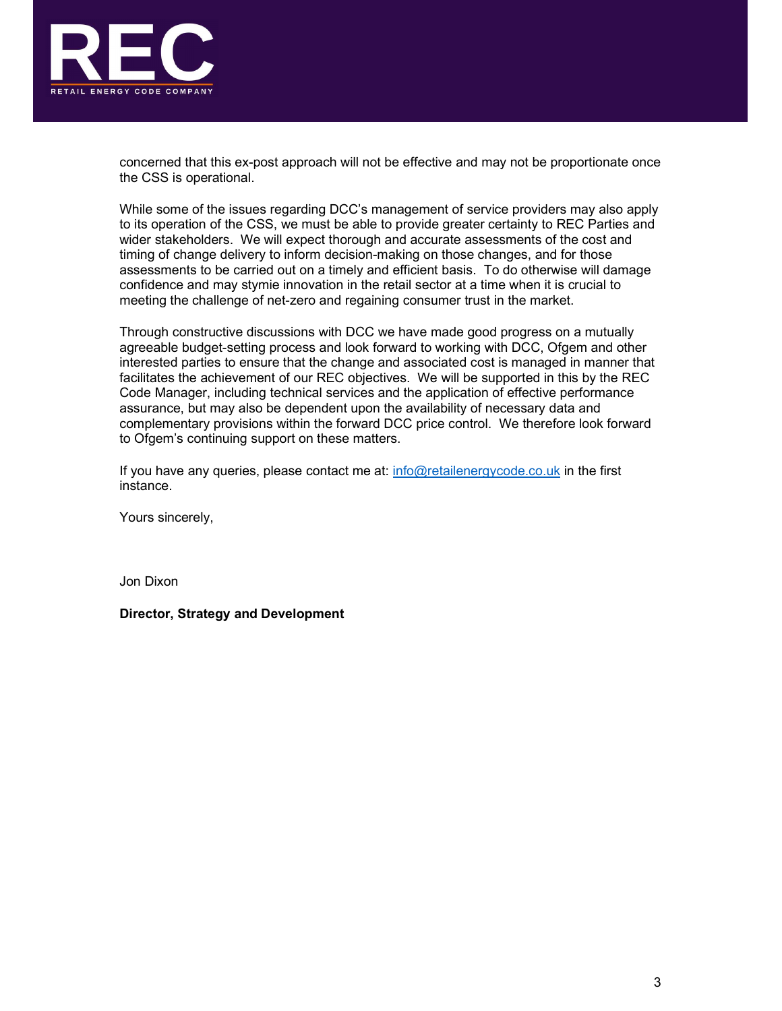

concerned that this ex-post approach will not be effective and may not be proportionate once the CSS is operational.

While some of the issues regarding DCC's management of service providers may also apply to its operation of the CSS, we must be able to provide greater certainty to REC Parties and wider stakeholders. We will expect thorough and accurate assessments of the cost and timing of change delivery to inform decision-making on those changes, and for those assessments to be carried out on a timely and efficient basis. To do otherwise will damage confidence and may stymie innovation in the retail sector at a time when it is crucial to meeting the challenge of net-zero and regaining consumer trust in the market.

Through constructive discussions with DCC we have made good progress on a mutually agreeable budget-setting process and look forward to working with DCC, Ofgem and other interested parties to ensure that the change and associated cost is managed in manner that facilitates the achievement of our REC objectives. We will be supported in this by the REC Code Manager, including technical services and the application of effective performance assurance, but may also be dependent upon the availability of necessary data and complementary provisions within the forward DCC price control. We therefore look forward to Ofgem's continuing support on these matters.

If you have any queries, please contact me at:  $info@retailenergycode.co.uk$  in the first instance.

Yours sincerely,

Jon Dixon

Director, Strategy and Development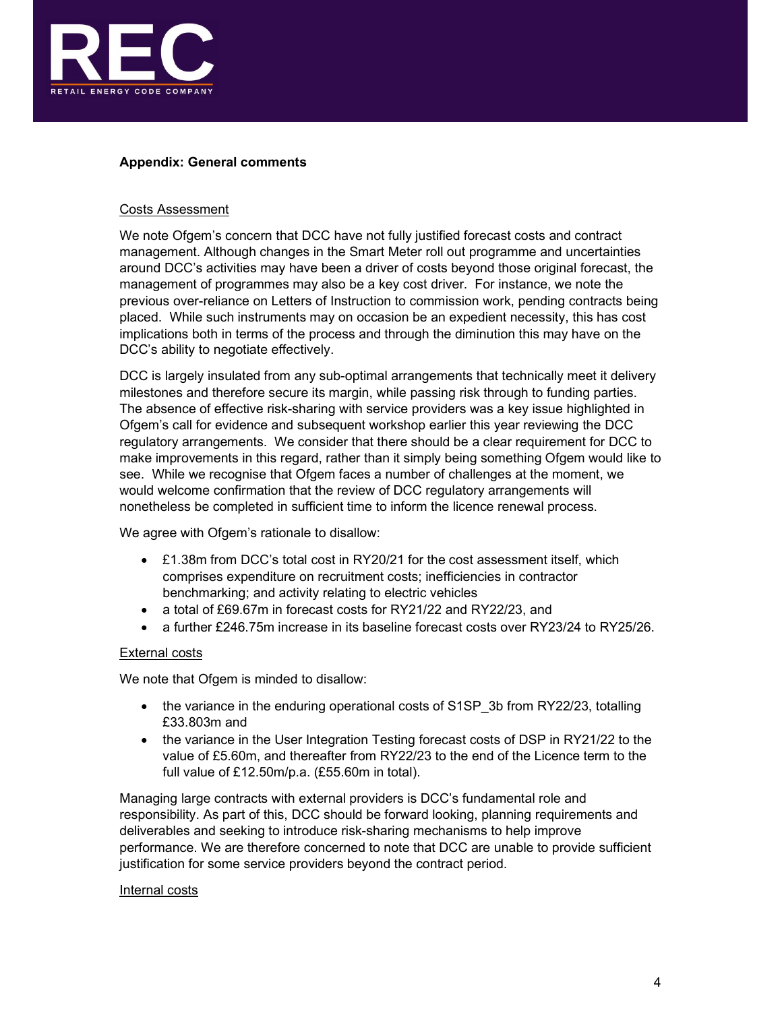

## Appendix: General comments

#### Costs Assessment

We note Ofgem's concern that DCC have not fully justified forecast costs and contract management. Although changes in the Smart Meter roll out programme and uncertainties around DCC's activities may have been a driver of costs beyond those original forecast, the management of programmes may also be a key cost driver. For instance, we note the previous over-reliance on Letters of Instruction to commission work, pending contracts being placed. While such instruments may on occasion be an expedient necessity, this has cost implications both in terms of the process and through the diminution this may have on the DCC's ability to negotiate effectively.

DCC is largely insulated from any sub-optimal arrangements that technically meet it delivery milestones and therefore secure its margin, while passing risk through to funding parties. The absence of effective risk-sharing with service providers was a key issue highlighted in Ofgem's call for evidence and subsequent workshop earlier this year reviewing the DCC regulatory arrangements. We consider that there should be a clear requirement for DCC to make improvements in this regard, rather than it simply being something Ofgem would like to see. While we recognise that Ofgem faces a number of challenges at the moment, we would welcome confirmation that the review of DCC regulatory arrangements will nonetheless be completed in sufficient time to inform the licence renewal process.

We agree with Ofgem's rationale to disallow:

- £1.38m from DCC's total cost in RY20/21 for the cost assessment itself, which comprises expenditure on recruitment costs; inefficiencies in contractor benchmarking; and activity relating to electric vehicles
- a total of £69.67m in forecast costs for RY21/22 and RY22/23, and
- a further £246.75m increase in its baseline forecast costs over RY23/24 to RY25/26.

#### External costs

We note that Ofgem is minded to disallow:

- the variance in the enduring operational costs of S1SP 3b from RY22/23, totalling £33.803m and
- the variance in the User Integration Testing forecast costs of DSP in RY21/22 to the value of £5.60m, and thereafter from RY22/23 to the end of the Licence term to the full value of £12.50m/p.a. (£55.60m in total).

Managing large contracts with external providers is DCC's fundamental role and responsibility. As part of this, DCC should be forward looking, planning requirements and deliverables and seeking to introduce risk-sharing mechanisms to help improve performance. We are therefore concerned to note that DCC are unable to provide sufficient justification for some service providers beyond the contract period.

#### Internal costs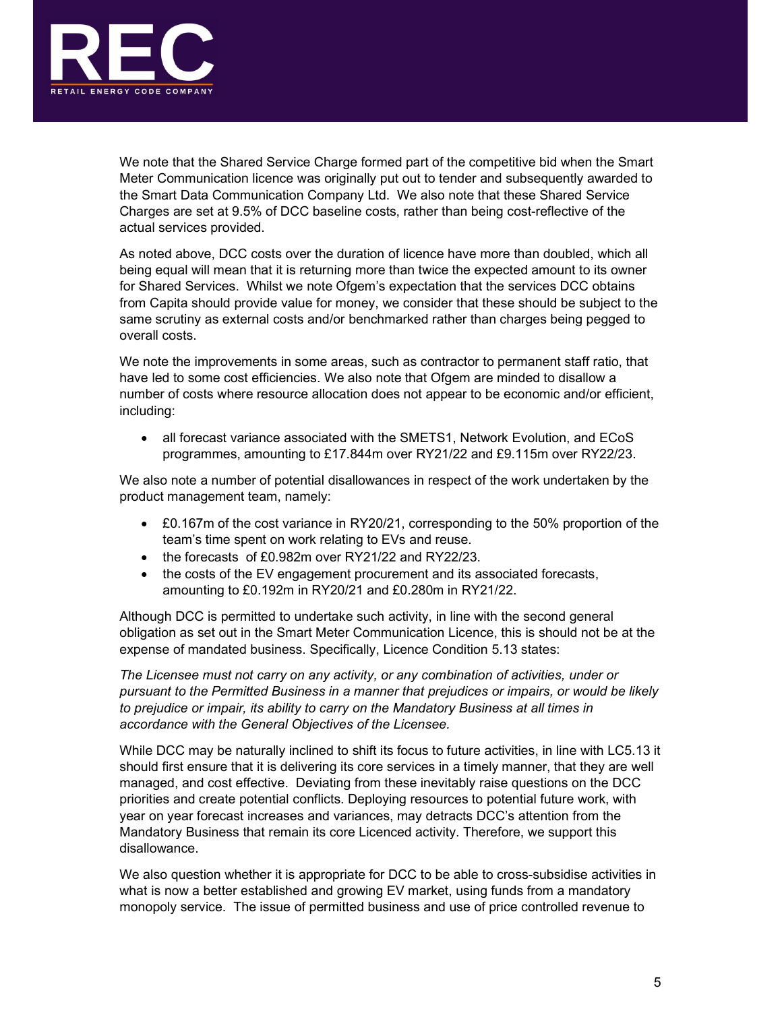

We note that the Shared Service Charge formed part of the competitive bid when the Smart Meter Communication licence was originally put out to tender and subsequently awarded to the Smart Data Communication Company Ltd. We also note that these Shared Service Charges are set at 9.5% of DCC baseline costs, rather than being cost-reflective of the actual services provided.

As noted above, DCC costs over the duration of licence have more than doubled, which all being equal will mean that it is returning more than twice the expected amount to its owner for Shared Services. Whilst we note Ofgem's expectation that the services DCC obtains from Capita should provide value for money, we consider that these should be subject to the same scrutiny as external costs and/or benchmarked rather than charges being pegged to overall costs.

We note the improvements in some areas, such as contractor to permanent staff ratio, that have led to some cost efficiencies. We also note that Ofgem are minded to disallow a number of costs where resource allocation does not appear to be economic and/or efficient, including:

• all forecast variance associated with the SMETS1, Network Evolution, and ECoS programmes, amounting to £17.844m over RY21/22 and £9.115m over RY22/23.

We also note a number of potential disallowances in respect of the work undertaken by the product management team, namely:

- £0.167m of the cost variance in RY20/21, corresponding to the 50% proportion of the team's time spent on work relating to EVs and reuse.
- the forecasts of £0.982m over RY21/22 and RY22/23.
- the costs of the EV engagement procurement and its associated forecasts, amounting to £0.192m in RY20/21 and £0.280m in RY21/22.

Although DCC is permitted to undertake such activity, in line with the second general obligation as set out in the Smart Meter Communication Licence, this is should not be at the expense of mandated business. Specifically, Licence Condition 5.13 states:

The Licensee must not carry on any activity, or any combination of activities, under or pursuant to the Permitted Business in a manner that prejudices or impairs, or would be likely to prejudice or impair, its ability to carry on the Mandatory Business at all times in accordance with the General Objectives of the Licensee.

While DCC may be naturally inclined to shift its focus to future activities, in line with LC5.13 it should first ensure that it is delivering its core services in a timely manner, that they are well managed, and cost effective. Deviating from these inevitably raise questions on the DCC priorities and create potential conflicts. Deploying resources to potential future work, with year on year forecast increases and variances, may detracts DCC's attention from the Mandatory Business that remain its core Licenced activity. Therefore, we support this disallowance.

We also question whether it is appropriate for DCC to be able to cross-subsidise activities in what is now a better established and growing EV market, using funds from a mandatory monopoly service. The issue of permitted business and use of price controlled revenue to